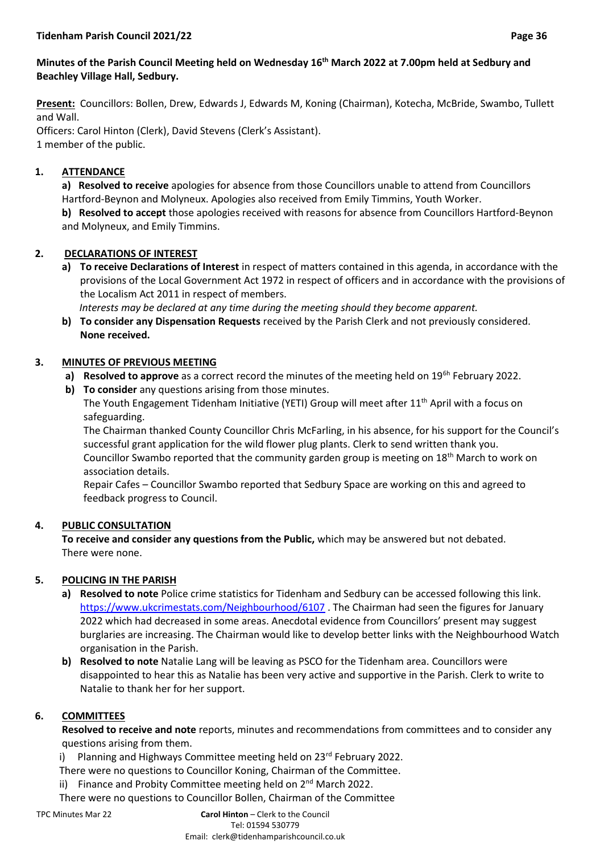### **Minutes of the Parish Council Meeting held on Wednesday 16 th March 2022 at 7.00pm held at Sedbury and Beachley Village Hall, Sedbury.**

**Present:** Councillors: Bollen, Drew, Edwards J, Edwards M, Koning (Chairman), Kotecha, McBride, Swambo, Tullett and Wall.

Officers: Carol Hinton (Clerk), David Stevens (Clerk's Assistant). 1 member of the public.

### **1. ATTENDANCE**

**a) Resolved to receive** apologies for absence from those Councillors unable to attend from Councillors Hartford-Beynon and Molyneux. Apologies also received from Emily Timmins, Youth Worker. **b) Resolved to accept** those apologies received with reasons for absence from Councillors Hartford-Beynon and Molyneux, and Emily Timmins.

### **2. DECLARATIONS OF INTEREST**

**a) To receive Declarations of Interest** in respect of matters contained in this agenda, in accordance with the provisions of the Local Government Act 1972 in respect of officers and in accordance with the provisions of the Localism Act 2011 in respect of members.

 *Interests may be declared at any time during the meeting should they become apparent.*

**b) To consider any Dispensation Requests** received by the Parish Clerk and not previously considered. **None received.**

### **3. MINUTES OF PREVIOUS MEETING**

- a) Resolved to approve as a correct record the minutes of the meeting held on 19<sup>6h</sup> February 2022.
- **b) To consider** any questions arising from those minutes. The Youth Engagement Tidenham Initiative (YETI) Group will meet after 11th April with a focus on safeguarding.

The Chairman thanked County Councillor Chris McFarling, in his absence, for his support for the Council's successful grant application for the wild flower plug plants. Clerk to send written thank you. Councillor Swambo reported that the community garden group is meeting on  $18<sup>th</sup>$  March to work on association details.

Repair Cafes – Councillor Swambo reported that Sedbury Space are working on this and agreed to feedback progress to Council.

### **4. PUBLIC CONSULTATION**

**To receive and consider any questions from the Public,** which may be answered but not debated. There were none.

### **5. POLICING IN THE PARISH**

- **a) Resolved to note** Police crime statistics for Tidenham and Sedbury can be accessed following this link. <https://www.ukcrimestats.com/Neighbourhood/6107>. The Chairman had seen the figures for January 2022 which had decreased in some areas. Anecdotal evidence from Councillors' present may suggest burglaries are increasing. The Chairman would like to develop better links with the Neighbourhood Watch organisation in the Parish.
- **b) Resolved to note** Natalie Lang will be leaving as PSCO for the Tidenham area. Councillors were disappointed to hear this as Natalie has been very active and supportive in the Parish. Clerk to write to Natalie to thank her for her support.

### **6. COMMITTEES**

**Resolved to receive and note** reports, minutes and recommendations from committees and to consider any questions arising from them.

i) Planning and Highways Committee meeting held on  $23<sup>rd</sup>$  February 2022.

There were no questions to Councillor Koning, Chairman of the Committee.

- ii) Finance and Probity Committee meeting held on 2<sup>nd</sup> March 2022.
- There were no questions to Councillor Bollen, Chairman of the Committee

TPC Minutes Mar 22 **Carol Hinton** – Clerk to the Council Tel: 01594 530779 Email: clerk@tidenhamparishcouncil.co.uk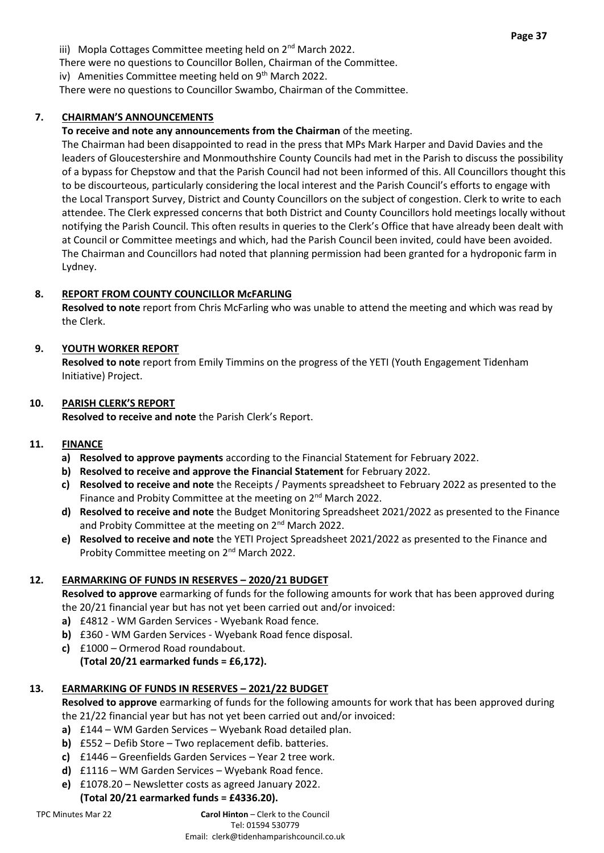iii) Mopla Cottages Committee meeting held on 2<sup>nd</sup> March 2022.

There were no questions to Councillor Bollen, Chairman of the Committee.

iv) Amenities Committee meeting held on  $9<sup>th</sup>$  March 2022.

There were no questions to Councillor Swambo, Chairman of the Committee.

#### **7. CHAIRMAN'S ANNOUNCEMENTS**

# **To receive and note any announcements from the Chairman** of the meeting.

The Chairman had been disappointed to read in the press that MPs Mark Harper and David Davies and the leaders of Gloucestershire and Monmouthshire County Councils had met in the Parish to discuss the possibility of a bypass for Chepstow and that the Parish Council had not been informed of this. All Councillors thought this to be discourteous, particularly considering the local interest and the Parish Council's efforts to engage with the Local Transport Survey, District and County Councillors on the subject of congestion. Clerk to write to each attendee. The Clerk expressed concerns that both District and County Councillors hold meetings locally without notifying the Parish Council. This often results in queries to the Clerk's Office that have already been dealt with at Council or Committee meetings and which, had the Parish Council been invited, could have been avoided. The Chairman and Councillors had noted that planning permission had been granted for a hydroponic farm in Lydney.

# **8. REPORT FROM COUNTY COUNCILLOR McFARLING**

**Resolved to note** report from Chris McFarling who was unable to attend the meeting and which was read by the Clerk.

# **9. YOUTH WORKER REPORT**

**Resolved to note** report from Emily Timmins on the progress of the YETI (Youth Engagement Tidenham Initiative) Project.

## **10. PARISH CLERK'S REPORT**

**Resolved to receive and note** the Parish Clerk's Report.

## **11. FINANCE**

- **a) Resolved to approve payments** according to the Financial Statement for February 2022.
- **b) Resolved to receive and approve the Financial Statement** for February 2022.
- **c) Resolved to receive and note** the Receipts / Payments spreadsheet to February 2022 as presented to the Finance and Probity Committee at the meeting on 2<sup>nd</sup> March 2022.
- **d) Resolved to receive and note** the Budget Monitoring Spreadsheet 2021/2022 as presented to the Finance and Probity Committee at the meeting on 2<sup>nd</sup> March 2022.
- **e) Resolved to receive and note** the YETI Project Spreadsheet 2021/2022 as presented to the Finance and Probity Committee meeting on 2<sup>nd</sup> March 2022.

# **12. EARMARKING OF FUNDS IN RESERVES – 2020/21 BUDGET**

**Resolved to approve** earmarking of funds for the following amounts for work that has been approved during the 20/21 financial year but has not yet been carried out and/or invoiced:

- **a)** £4812 WM Garden Services Wyebank Road fence.
- **b)** £360 WM Garden Services Wyebank Road fence disposal.
- **c)** £1000 Ormerod Road roundabout.

# **(Total 20/21 earmarked funds = £6,172).**

# **13. EARMARKING OF FUNDS IN RESERVES – 2021/22 BUDGET**

**Resolved to approve** earmarking of funds for the following amounts for work that has been approved during the 21/22 financial year but has not yet been carried out and/or invoiced:

- **a)** £144 WM Garden Services Wyebank Road detailed plan.
- **b)** £552 Defib Store Two replacement defib. batteries.
- **c)** £1446 Greenfields Garden Services Year 2 tree work.
- **d)** £1116 WM Garden Services Wyebank Road fence.
- **e)** £1078.20 Newsletter costs as agreed January 2022.

# **(Total 20/21 earmarked funds = £4336.20).**

## TPC Minutes Mar 22 **Carol Hinton** – Clerk to the Council

Tel: 01594 530779

Email: clerk@tidenhamparishcouncil.co.uk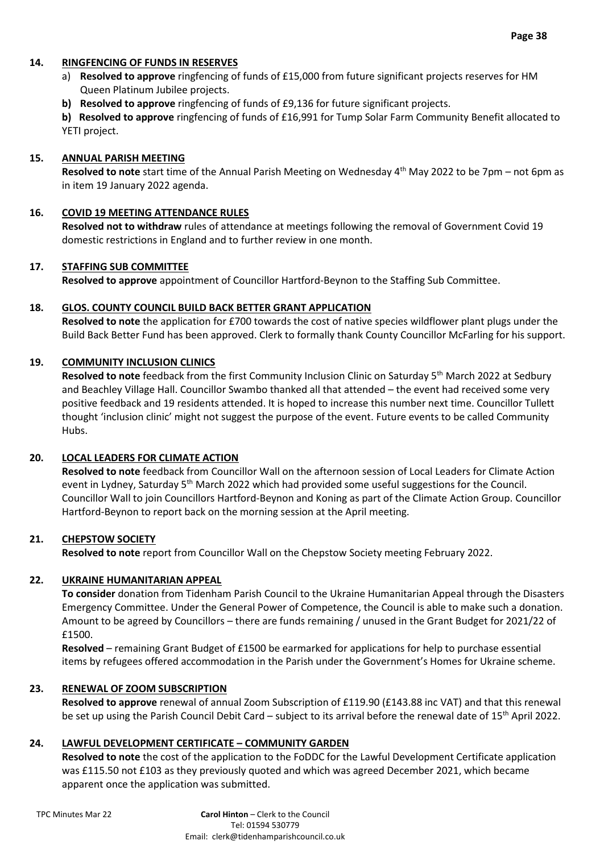#### **14. RINGFENCING OF FUNDS IN RESERVES**

- a) **Resolved to approve** ringfencing of funds of £15,000 from future significant projects reserves for HM Queen Platinum Jubilee projects.
- **b) Resolved to approve** ringfencing of funds of £9,136 for future significant projects.

**b) Resolved to approve** ringfencing of funds of £16,991 for Tump Solar Farm Community Benefit allocated to YETI project.

#### **15. ANNUAL PARISH MEETING**

Resolved to note start time of the Annual Parish Meeting on Wednesday 4<sup>th</sup> May 2022 to be 7pm – not 6pm as in item 19 January 2022 agenda.

#### **16. COVID 19 MEETING ATTENDANCE RULES**

**Resolved not to withdraw** rules of attendance at meetings following the removal of Government Covid 19 domestic restrictions in England and to further review in one month.

#### **17. STAFFING SUB COMMITTEE**

**Resolved to approve** appointment of Councillor Hartford-Beynon to the Staffing Sub Committee.

#### **18. GLOS. COUNTY COUNCIL BUILD BACK BETTER GRANT APPLICATION**

**Resolved to note** the application for £700 towards the cost of native species wildflower plant plugs under the Build Back Better Fund has been approved. Clerk to formally thank County Councillor McFarling for his support.

#### **19. COMMUNITY INCLUSION CLINICS**

Resolved to note feedback from the first Community Inclusion Clinic on Saturday 5<sup>th</sup> March 2022 at Sedbury and Beachley Village Hall. Councillor Swambo thanked all that attended – the event had received some very positive feedback and 19 residents attended. It is hoped to increase this number next time. Councillor Tullett thought 'inclusion clinic' might not suggest the purpose of the event. Future events to be called Community Hubs.

#### **20. LOCAL LEADERS FOR CLIMATE ACTION**

**Resolved to note** feedback from Councillor Wall on the afternoon session of Local Leaders for Climate Action event in Lydney, Saturday 5<sup>th</sup> March 2022 which had provided some useful suggestions for the Council. Councillor Wall to join Councillors Hartford-Beynon and Koning as part of the Climate Action Group. Councillor Hartford-Beynon to report back on the morning session at the April meeting.

#### **21. CHEPSTOW SOCIETY**

**Resolved to note** report from Councillor Wall on the Chepstow Society meeting February 2022.

#### **22. UKRAINE HUMANITARIAN APPEAL**

**To consider** donation from Tidenham Parish Council to the Ukraine Humanitarian Appeal through the Disasters Emergency Committee. Under the General Power of Competence, the Council is able to make such a donation. Amount to be agreed by Councillors – there are funds remaining / unused in the Grant Budget for 2021/22 of £1500.

**Resolved** – remaining Grant Budget of £1500 be earmarked for applications for help to purchase essential items by refugees offered accommodation in the Parish under the Government's Homes for Ukraine scheme.

#### **23. RENEWAL OF ZOOM SUBSCRIPTION**

**Resolved to approve** renewal of annual Zoom Subscription of £119.90 (£143.88 inc VAT) and that this renewal be set up using the Parish Council Debit Card – subject to its arrival before the renewal date of 15<sup>th</sup> April 2022.

### **24. LAWFUL DEVELOPMENT CERTIFICATE – COMMUNITY GARDEN**

**Resolved to note** the cost of the application to the FoDDC for the Lawful Development Certificate application was £115.50 not £103 as they previously quoted and which was agreed December 2021, which became apparent once the application was submitted.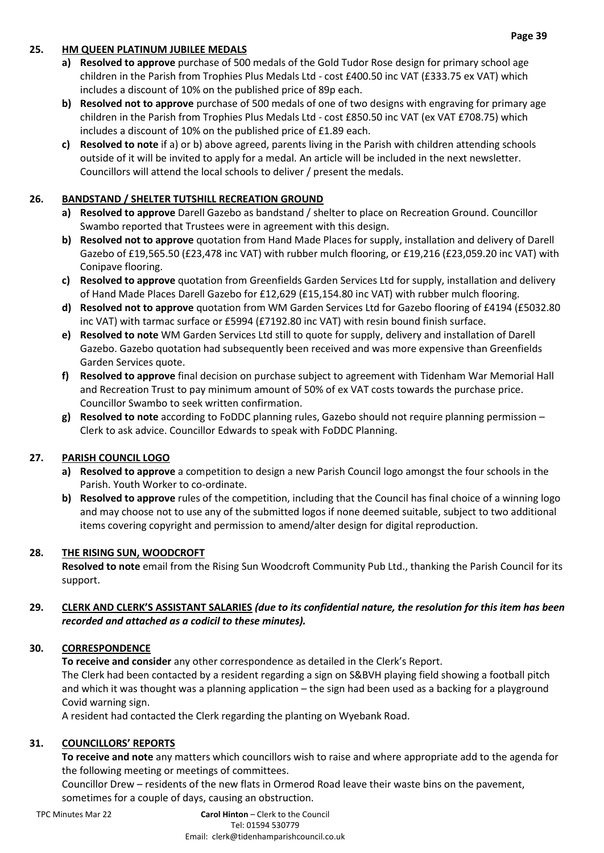## **25. HM QUEEN PLATINUM JUBILEE MEDALS**

- **a) Resolved to approve** purchase of 500 medals of the Gold Tudor Rose design for primary school age children in the Parish from Trophies Plus Medals Ltd - cost £400.50 inc VAT (£333.75 ex VAT) which includes a discount of 10% on the published price of 89p each.
- **b) Resolved not to approve** purchase of 500 medals of one of two designs with engraving for primary age children in the Parish from Trophies Plus Medals Ltd - cost £850.50 inc VAT (ex VAT £708.75) which includes a discount of 10% on the published price of £1.89 each.
- **c) Resolved to note** if a) or b) above agreed, parents living in the Parish with children attending schools outside of it will be invited to apply for a medal. An article will be included in the next newsletter. Councillors will attend the local schools to deliver / present the medals.

# **26. BANDSTAND / SHELTER TUTSHILL RECREATION GROUND**

- **a) Resolved to approve** Darell Gazebo as bandstand / shelter to place on Recreation Ground. Councillor Swambo reported that Trustees were in agreement with this design.
- **b) Resolved not to approve** quotation from Hand Made Places for supply, installation and delivery of Darell Gazebo of £19,565.50 (£23,478 inc VAT) with rubber mulch flooring, or £19,216 (£23,059.20 inc VAT) with Conipave flooring.
- **c) Resolved to approve** quotation from Greenfields Garden Services Ltd for supply, installation and delivery of Hand Made Places Darell Gazebo for £12,629 (£15,154.80 inc VAT) with rubber mulch flooring.
- **d) Resolved not to approve** quotation from WM Garden Services Ltd for Gazebo flooring of £4194 (£5032.80 inc VAT) with tarmac surface or £5994 (£7192.80 inc VAT) with resin bound finish surface.
- **e) Resolved to note** WM Garden Services Ltd still to quote for supply, delivery and installation of Darell Gazebo. Gazebo quotation had subsequently been received and was more expensive than Greenfields Garden Services quote.
- **f) Resolved to approve** final decision on purchase subject to agreement with Tidenham War Memorial Hall and Recreation Trust to pay minimum amount of 50% of ex VAT costs towards the purchase price. Councillor Swambo to seek written confirmation.
- **g) Resolved to note** according to FoDDC planning rules, Gazebo should not require planning permission Clerk to ask advice. Councillor Edwards to speak with FoDDC Planning.

## **27. PARISH COUNCIL LOGO**

- **a) Resolved to approve** a competition to design a new Parish Council logo amongst the four schools in the Parish. Youth Worker to co-ordinate.
- **b) Resolved to approve** rules of the competition, including that the Council has final choice of a winning logo and may choose not to use any of the submitted logos if none deemed suitable, subject to two additional items covering copyright and permission to amend/alter design for digital reproduction.

## **28. THE RISING SUN, WOODCROFT**

**Resolved to note** email from the Rising Sun Woodcroft Community Pub Ltd., thanking the Parish Council for its support.

### **29. CLERK AND CLERK'S ASSISTANT SALARIES** *(due to its confidential nature, the resolution for this item has been recorded and attached as a codicil to these minutes).*

## **30. CORRESPONDENCE**

**To receive and consider** any other correspondence as detailed in the Clerk's Report.

The Clerk had been contacted by a resident regarding a sign on S&BVH playing field showing a football pitch and which it was thought was a planning application – the sign had been used as a backing for a playground Covid warning sign.

A resident had contacted the Clerk regarding the planting on Wyebank Road.

## **31. COUNCILLORS' REPORTS**

**To receive and note** any matters which councillors wish to raise and where appropriate add to the agenda for the following meeting or meetings of committees.

Councillor Drew – residents of the new flats in Ormerod Road leave their waste bins on the pavement, sometimes for a couple of days, causing an obstruction.